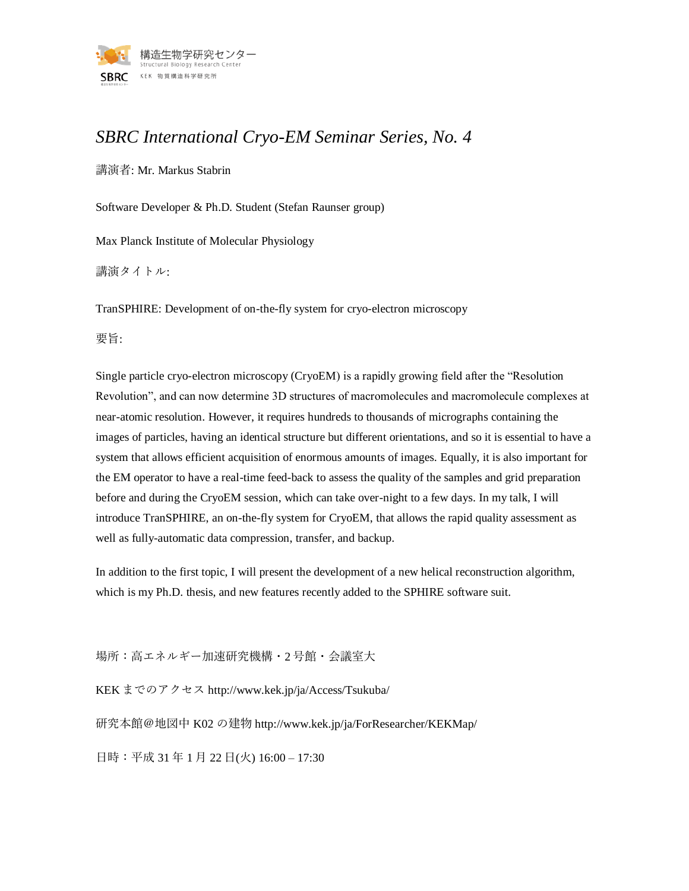

## *SBRC International Cryo-EM Seminar Series, No. 4*

講演者: Mr. Markus Stabrin

Software Developer & Ph.D. Student (Stefan Raunser group)

Max Planck Institute of Molecular Physiology

講演タイトル:

TranSPHIRE: Development of on-the-fly system for cryo-electron microscopy

要旨:

Single particle cryo-electron microscopy (CryoEM) is a rapidly growing field after the "Resolution Revolution", and can now determine 3D structures of macromolecules and macromolecule complexes at near-atomic resolution. However, it requires hundreds to thousands of micrographs containing the images of particles, having an identical structure but different orientations, and so it is essential to have a system that allows efficient acquisition of enormous amounts of images. Equally, it is also important for the EM operator to have a real-time feed-back to assess the quality of the samples and grid preparation before and during the CryoEM session, which can take over-night to a few days. In my talk, I will introduce TranSPHIRE, an on-the-fly system for CryoEM, that allows the rapid quality assessment as well as fully-automatic data compression, transfer, and backup.

In addition to the first topic, I will present the development of a new helical reconstruction algorithm, which is my Ph.D. thesis, and new features recently added to the SPHIRE software suit.

場所:高エネルギー加速研究機構・2 号館・会議室大

KEK までのアクセス http://www.kek.jp/ja/Access/Tsukuba/

研究本館@地図中 K02 の建物 http://www.kek.jp/ja/ForResearcher/KEKMap/

日時:平成 31 年 1 月 22 日(火) 16:00 – 17:30